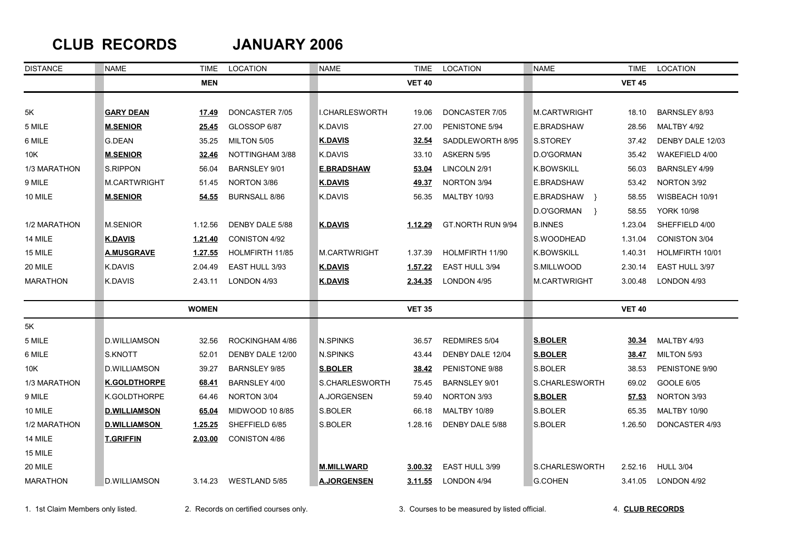## **CLUB RECORDS JANUARY 2006**

| <b>DISTANCE</b> | <b>NAME</b>         | TIME         | <b>LOCATION</b>      | <b>NAME</b>           | TIME           | LOCATION            | NAME                        | TIME          | LOCATION             |
|-----------------|---------------------|--------------|----------------------|-----------------------|----------------|---------------------|-----------------------------|---------------|----------------------|
|                 |                     | <b>MEN</b>   |                      |                       | <b>VET 40</b>  |                     |                             | <b>VET 45</b> |                      |
|                 |                     |              |                      |                       |                |                     |                             |               |                      |
| 5Κ              | <b>GARY DEAN</b>    | 17.49        | DONCASTER 7/05       | <b>I.CHARLESWORTH</b> | 19.06          | DONCASTER 7/05      | M.CARTWRIGHT                | 18.10         | <b>BARNSLEY 8/93</b> |
| 5 MILE          | <b>M.SENIOR</b>     | 25.45        | GLOSSOP 6/87         | K.DAVIS               | 27.00          | PENISTONE 5/94      | E.BRADSHAW                  | 28.56         | MALTBY 4/92          |
| 6 MILE          | G.DEAN              | 35.25        | MILTON 5/05          | <b>K.DAVIS</b>        | 32.54          | SADDLEWORTH 8/95    | <b>S.STOREY</b>             | 37.42         | DENBY DALE 12/03     |
| 10K             | <b>M.SENIOR</b>     | 32.46        | NOTTINGHAM 3/88      | K.DAVIS               | 33.10          | ASKERN 5/95         | D.O'GORMAN                  | 35.42         | WAKEFIELD 4/00       |
| 1/3 MARATHON    | <b>S.RIPPON</b>     | 56.04        | BARNSLEY 9/01        | <b>E.BRADSHAW</b>     | 53.04          | LINCOLN 2/91        | <b>K.BOWSKILL</b>           | 56.03         | BARNSLEY 4/99        |
| 9 MILE          | M.CARTWRIGHT        | 51.45        | NORTON 3/86          | <b>K.DAVIS</b>        | 49.37          | NORTON 3/94         | E.BRADSHAW                  | 53.42         | NORTON 3/92          |
| 10 MILE         | <b>M.SENIOR</b>     | 54.55        | <b>BURNSALL 8/86</b> | K.DAVIS               | 56.35          | <b>MALTBY 10/93</b> | E.BRADSHAW }                | 58.55         | WISBEACH 10/91       |
|                 |                     |              |                      |                       |                |                     | D.O'GORMAN<br>$\rightarrow$ | 58.55         | <b>YORK 10/98</b>    |
| 1/2 MARATHON    | <b>M.SENIOR</b>     | 1.12.56      | DENBY DALE 5/88      | <b>K.DAVIS</b>        | 1.12.29        | GT.NORTH RUN 9/94   | <b>B.INNES</b>              | 1.23.04       | SHEFFIELD 4/00       |
| 14 MILE         | <b>K.DAVIS</b>      | 1.21.40      | CONISTON 4/92        |                       |                |                     | S.WOODHEAD                  | 1.31.04       | <b>CONISTON 3/04</b> |
| 15 MILE         | <b>A.MUSGRAVE</b>   | 1.27.55      | HOLMFIRTH 11/85      | <b>M.CARTWRIGHT</b>   | 1.37.39        | HOLMFIRTH 11/90     | <b>K.BOWSKILL</b>           | 1.40.31       | HOLMFIRTH 10/01      |
| 20 MILE         | K.DAVIS             | 2.04.49      | EAST HULL 3/93       | <b>K.DAVIS</b>        | 1.57.22        | EAST HULL 3/94      | S.MILLWOOD                  | 2.30.14       | EAST HULL 3/97       |
| <b>MARATHON</b> | K.DAVIS             | 2.43.11      | LONDON 4/93          | <u>K.DAVIS</u>        | 2.34.35        | LONDON 4/95         | M.CARTWRIGHT                | 3.00.48       | LONDON 4/93          |
|                 |                     | <b>WOMEN</b> |                      |                       | <b>VET 35</b>  |                     |                             | <b>VET 40</b> |                      |
| 5K              |                     |              |                      |                       |                |                     |                             |               |                      |
| 5 MILE          | <b>D.WILLIAMSON</b> | 32.56        | ROCKINGHAM 4/86      | N.SPINKS              | 36.57          | REDMIRES 5/04       | <b>S.BOLER</b>              | 30.34         | MALTBY 4/93          |
| 6 MILE          | S.KNOTT             | 52.01        | DENBY DALE 12/00     | N.SPINKS              | 43.44          | DENBY DALE 12/04    | <b>S.BOLER</b>              | 38.47         | MILTON 5/93          |
| 10K             | <b>D.WILLIAMSON</b> | 39.27        | <b>BARNSLEY 9/85</b> | <b>S.BOLER</b>        | 38.42          | PENISTONE 9/88      | S.BOLER                     | 38.53         | PENISTONE 9/90       |
| 1/3 MARATHON    | <b>K.GOLDTHORPE</b> | 68.41        | BARNSLEY 4/00        | S.CHARLESWORTH        | 75.45          | BARNSLEY 9/01       | S.CHARLESWORTH              | 69.02         | GOOLE 6/05           |
| 9 MILE          | K.GOLDTHORPE        | 64.46        | NORTON 3/04          | A.JORGENSEN           | 59.40          | NORTON 3/93         | <b>S.BOLER</b>              | 57.53         | NORTON 3/93          |
| 10 MILE         | <b>D.WILLIAMSON</b> | 65.04        | MIDWOOD 10 8/85      | S.BOLER               | 66.18          | <b>MALTBY 10/89</b> | S.BOLER                     | 65.35         | <b>MALTBY 10/90</b>  |
| 1/2 MARATHON    | <b>D.WILLIAMSON</b> | 1.25.25      | SHEFFIELD 6/85       | S.BOLER               | 1.28.16        | DENBY DALE 5/88     | S.BOLER                     | 1.26.50       | DONCASTER 4/93       |
| 14 MILE         | <u>T.GRIFFIN</u>    | 2.03.00      | CONISTON 4/86        |                       |                |                     |                             |               |                      |
| 15 MILE         |                     |              |                      |                       |                |                     |                             |               |                      |
| 20 MILE         |                     |              |                      | <b>M.MILLWARD</b>     | 3.00.32        | EAST HULL 3/99      | S.CHARLESWORTH              | 2.52.16       | <b>HULL 3/04</b>     |
| <b>MARATHON</b> | D.WILLIAMSON        | 3.14.23      | WESTLAND 5/85        | <b>A.JORGENSEN</b>    | <u>3.11.55</u> | LONDON 4/94         | <b>G.COHEN</b>              | 3.41.05       | LONDON 4/92          |

1. 1st Claim Members only listed. 2. Records on certified courses only. 3. Courses to be measured by listed official. 4. **CLUB RECORDS**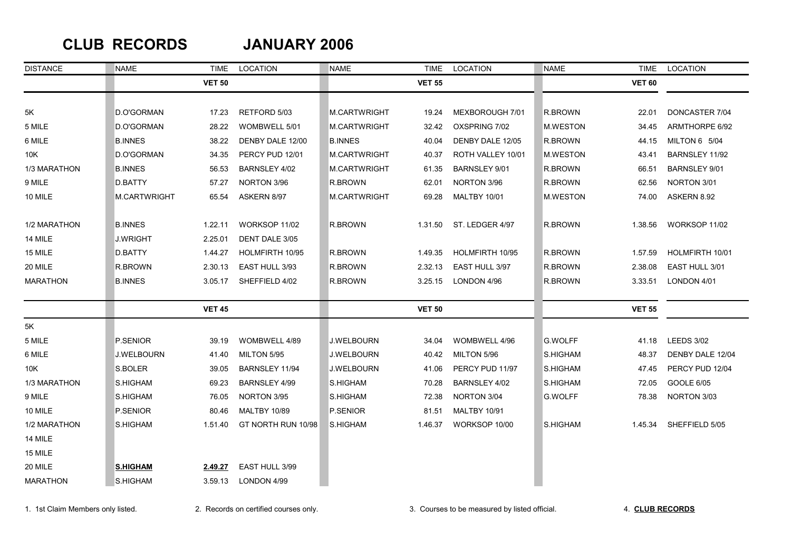### **CLUB RECORDS JANUARY 2006**

| <b>DISTANCE</b> | <b>NAME</b>         | TIME          | LOCATION             | NAME                | TIME          | LOCATION             | <b>NAME</b>     | TIME          | LOCATION          |
|-----------------|---------------------|---------------|----------------------|---------------------|---------------|----------------------|-----------------|---------------|-------------------|
|                 |                     | <b>VET 50</b> |                      |                     | <b>VET 55</b> |                      |                 | <b>VET 60</b> |                   |
|                 |                     |               |                      |                     |               |                      |                 |               |                   |
| 5K              | D.O'GORMAN          | 17.23         | RETFORD 5/03         | <b>M.CARTWRIGHT</b> | 19.24         | MEXBOROUGH 7/01      | R.BROWN         | 22.01         | DONCASTER 7/04    |
| 5 MILE          | D.O'GORMAN          | 28.22         | WOMBWELL 5/01        | M.CARTWRIGHT        | 32.42         | OXSPRING 7/02        | <b>M.WESTON</b> | 34.45         | ARMTHORPE 6/92    |
| 6 MILE          | <b>B.INNES</b>      | 38.22         | DENBY DALE 12/00     | <b>B.INNES</b>      | 40.04         | DENBY DALE 12/05     | R.BROWN         | 44.15         | MILTON 6 5/04     |
| 10K             | D.O'GORMAN          | 34.35         | PERCY PUD 12/01      | <b>M.CARTWRIGHT</b> | 40.37         | ROTH VALLEY 10/01    | <b>M.WESTON</b> | 43.41         | BARNSLEY 11/92    |
| 1/3 MARATHON    | <b>B.INNES</b>      | 56.53         | BARNSLEY 4/02        | M.CARTWRIGHT        | 61.35         | <b>BARNSLEY 9/01</b> | R.BROWN         | 66.51         | BARNSLEY 9/01     |
| 9 MILE          | D.BATTY             | 57.27         | NORTON 3/96          | R.BROWN             | 62.01         | NORTON 3/96          | R.BROWN         | 62.56         | NORTON 3/01       |
| 10 MILE         | <b>M.CARTWRIGHT</b> | 65.54         | ASKERN 8/97          | M.CARTWRIGHT        | 69.28         | <b>MALTBY 10/01</b>  | <b>M.WESTON</b> | 74.00         | ASKERN 8.92       |
| 1/2 MARATHON    | <b>B.INNES</b>      | 1.22.11       | WORKSOP 11/02        | R.BROWN             | 1.31.50       | ST. LEDGER 4/97      | R.BROWN         | 1.38.56       | WORKSOP 11/02     |
| 14 MILE         | <b>J.WRIGHT</b>     | 2.25.01       | DENT DALE 3/05       |                     |               |                      |                 |               |                   |
| 15 MILE         | D.BATTY             | 1.44.27       | HOLMFIRTH 10/95      | R.BROWN             | 1.49.35       | HOLMFIRTH 10/95      | R.BROWN         | 1.57.59       | HOLMFIRTH 10/01   |
| 20 MILE         | R.BROWN             | 2.30.13       | EAST HULL 3/93       | R.BROWN             | 2.32.13       | EAST HULL 3/97       | R.BROWN         | 2.38.08       | EAST HULL 3/01    |
| <b>MARATHON</b> | <b>B.INNES</b>      | 3.05.17       | SHEFFIELD 4/02       | R.BROWN             | 3.25.15       | LONDON 4/96          | R.BROWN         | 3.33.51       | LONDON 4/01       |
|                 |                     | <b>VET 45</b> |                      |                     | <b>VET 50</b> |                      |                 | <b>VET 55</b> |                   |
| 5K              |                     |               |                      |                     |               |                      |                 |               |                   |
| 5 MILE          | P.SENIOR            | 39.19         | WOMBWELL 4/89        | J.WELBOURN          | 34.04         | WOMBWELL 4/96        | <b>G.WOLFF</b>  | 41.18         | <b>LEEDS 3/02</b> |
| 6 MILE          | <b>J.WELBOURN</b>   | 41.40         | MILTON 5/95          | J.WELBOURN          | 40.42         | MILTON 5/96          | S.HIGHAM        | 48.37         | DENBY DALE 12/04  |
| 10K             | S.BOLER             | 39.05         | BARNSLEY 11/94       | J.WELBOURN          | 41.06         | PERCY PUD 11/97      | S.HIGHAM        | 47.45         | PERCY PUD 12/04   |
| 1/3 MARATHON    | S.HIGHAM            | 69.23         | <b>BARNSLEY 4/99</b> | S.HIGHAM            | 70.28         | BARNSLEY 4/02        | S.HIGHAM        | 72.05         | GOOLE 6/05        |
| 9 MILE          | S.HIGHAM            | 76.05         | NORTON 3/95          | S.HIGHAM            | 72.38         | NORTON 3/04          | <b>G.WOLFF</b>  | 78.38         | NORTON 3/03       |
| 10 MILE         | P.SENIOR            | 80.46         | <b>MALTBY 10/89</b>  | P.SENIOR            | 81.51         | <b>MALTBY 10/91</b>  |                 |               |                   |
| 1/2 MARATHON    | S.HIGHAM            | 1.51.40       | GT NORTH RUN 10/98   | S.HIGHAM            | 1.46.37       | WORKSOP 10/00        | S.HIGHAM        | 1.45.34       | SHEFFIELD 5/05    |
| 14 MILE         |                     |               |                      |                     |               |                      |                 |               |                   |
| 15 MILE         |                     |               |                      |                     |               |                      |                 |               |                   |
| 20 MILE         | <b>S.HIGHAM</b>     | 2.49.27       | EAST HULL 3/99       |                     |               |                      |                 |               |                   |
| <b>MARATHON</b> | S.HIGHAM            | 3.59.13       | <b>LONDON 4/99</b>   |                     |               |                      |                 |               |                   |

1. 1st Claim Members only listed. 2. Records on certified courses only. 3. Courses to be measured by listed official. 4. **CLUB RECORDS**